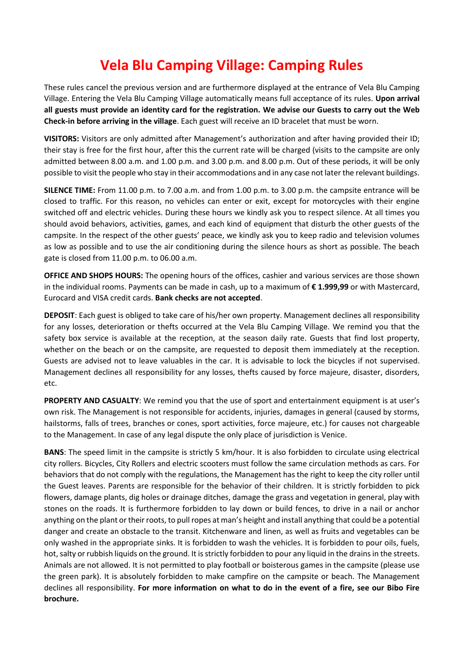## **Vela Blu Camping Village: Camping Rules**

These rules cancel the previous version and are furthermore displayed at the entrance of Vela Blu Camping Village. Entering the Vela Blu Camping Village automatically means full acceptance of its rules. **Upon arrival all guests must provide an identity card for the registration. We advise our Guests to carry out the Web Check-in before arriving in the village**. Each guest will receive an ID bracelet that must be worn.

**VISITORS:** Visitors are only admitted after Management's authorization and after having provided their ID; their stay is free for the first hour, after this the current rate will be charged (visits to the campsite are only admitted between 8.00 a.m. and 1.00 p.m. and 3.00 p.m. and 8.00 p.m. Out of these periods, it will be only possible to visit the people who stay in their accommodations and in any case not later the relevant buildings.

**SILENCE TIME:** From 11.00 p.m. to 7.00 a.m. and from 1.00 p.m. to 3.00 p.m. the campsite entrance will be closed to traffic. For this reason, no vehicles can enter or exit, except for motorcycles with their engine switched off and electric vehicles. During these hours we kindly ask you to respect silence. At all times you should avoid behaviors, activities, games, and each kind of equipment that disturb the other guests of the campsite. In the respect of the other guests' peace, we kindly ask you to keep radio and television volumes as low as possible and to use the air conditioning during the silence hours as short as possible. The beach gate is closed from 11.00 p.m. to 06.00 a.m.

**OFFICE AND SHOPS HOURS:** The opening hours of the offices, cashier and various services are those shown in the individual rooms. Payments can be made in cash, up to a maximum of **€ 1.999,99** or with Mastercard, Eurocard and VISA credit cards. **Bank checks are not accepted**.

**DEPOSIT**: Each guest is obliged to take care of his/her own property. Management declines all responsibility for any losses, deterioration or thefts occurred at the Vela Blu Camping Village. We remind you that the safety box service is available at the reception, at the season daily rate. Guests that find lost property, whether on the beach or on the campsite, are requested to deposit them immediately at the reception. Guests are advised not to leave valuables in the car. It is advisable to lock the bicycles if not supervised. Management declines all responsibility for any losses, thefts caused by force majeure, disaster, disorders, etc.

**PROPERTY AND CASUALTY**: We remind you that the use of sport and entertainment equipment is at user's own risk. The Management is not responsible for accidents, injuries, damages in general (caused by storms, hailstorms, falls of trees, branches or cones, sport activities, force majeure, etc.) for causes not chargeable to the Management. In case of any legal dispute the only place of jurisdiction is Venice.

**BANS**: The speed limit in the campsite is strictly 5 km/hour. It is also forbidden to circulate using electrical city rollers. Bicycles, City Rollers and electric scooters must follow the same circulation methods as cars. For behaviors that do not comply with the regulations, the Management has the right to keep the city roller until the Guest leaves. Parents are responsible for the behavior of their children. It is strictly forbidden to pick flowers, damage plants, dig holes or drainage ditches, damage the grass and vegetation in general, play with stones on the roads. It is furthermore forbidden to lay down or build fences, to drive in a nail or anchor anything on the plant or their roots, to pull ropes at man's height and install anything that could be a potential danger and create an obstacle to the transit. Kitchenware and linen, as well as fruits and vegetables can be only washed in the appropriate sinks. It is forbidden to wash the vehicles. It is forbidden to pour oils, fuels, hot, salty or rubbish liquids on the ground. It is strictly forbidden to pour any liquid in the drains in the streets. Animals are not allowed. It is not permitted to play football or boisterous games in the campsite (please use the green park). It is absolutely forbidden to make campfire on the campsite or beach. The Management declines all responsibility. **For more information on what to do in the event of a fire, see our Bibo Fire brochure.**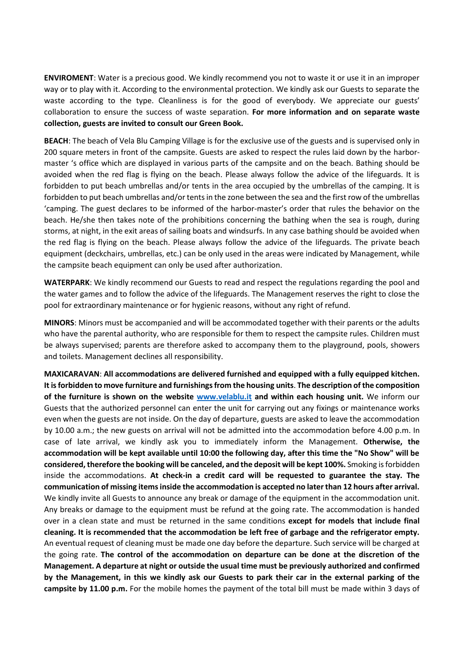**ENVIROMENT**: Water is a precious good. We kindly recommend you not to waste it or use it in an improper way or to play with it. According to the environmental protection. We kindly ask our Guests to separate the waste according to the type. Cleanliness is for the good of everybody. We appreciate our guests' collaboration to ensure the success of waste separation. **For more information and on separate waste collection, guests are invited to consult our Green Book.**

**BEACH**: The beach of Vela Blu Camping Village is for the exclusive use of the guests and is supervised only in 200 square meters in front of the campsite. Guests are asked to respect the rules laid down by the harbormaster 's office which are displayed in various parts of the campsite and on the beach. Bathing should be avoided when the red flag is flying on the beach. Please always follow the advice of the lifeguards. It is forbidden to put beach umbrellas and/or tents in the area occupied by the umbrellas of the camping. It is forbidden to put beach umbrellas and/or tents in the zone between the sea and the first row of the umbrellas 'camping. The guest declares to be informed of the harbor-master's order that rules the behavior on the beach. He/she then takes note of the prohibitions concerning the bathing when the sea is rough, during storms, at night, in the exit areas of sailing boats and windsurfs. In any case bathing should be avoided when the red flag is flying on the beach. Please always follow the advice of the lifeguards. The private beach equipment (deckchairs, umbrellas, etc.) can be only used in the areas were indicated by Management, while the campsite beach equipment can only be used after authorization.

**WATERPARK**: We kindly recommend our Guests to read and respect the regulations regarding the pool and the water games and to follow the advice of the lifeguards. The Management reserves the right to close the pool for extraordinary maintenance or for hygienic reasons, without any right of refund.

**MINORS**: Minors must be accompanied and will be accommodated together with their parents or the adults who have the parental authority, who are responsible for them to respect the campsite rules. Children must be always supervised; parents are therefore asked to accompany them to the playground, pools, showers and toilets. Management declines all responsibility.

**MAXICARAVAN**: **All accommodations are delivered furnished and equipped with a fully equipped kitchen. It is forbidden to move furniture and furnishings from the housing units**. **The description of the composition of the furniture is shown on the website [www.velablu.it](http://www.velablu.it/) and within each housing unit.** We inform our Guests that the authorized personnel can enter the unit for carrying out any fixings or maintenance works even when the guests are not inside. On the day of departure, guests are asked to leave the accommodation by 10.00 a.m.; the new guests on arrival will not be admitted into the accommodation before 4.00 p.m. In case of late arrival, we kindly ask you to immediately inform the Management. **Otherwise, the accommodation will be kept available until 10:00 the following day, after this time the "No Show" will be considered, therefore the booking will be canceled, and the deposit will be kept 100%.** Smoking is forbidden inside the accommodations. **At check-in a credit card will be requested to guarantee the stay. The communication of missing items inside the accommodation is accepted no later than 12 hours after arrival.**  We kindly invite all Guests to announce any break or damage of the equipment in the accommodation unit. Any breaks or damage to the equipment must be refund at the going rate. The accommodation is handed over in a clean state and must be returned in the same conditions **except for models that include final cleaning. It is recommended that the accommodation be left free of garbage and the refrigerator empty.** An eventual request of cleaning must be made one day before the departure. Such service will be charged at the going rate. **The control of the accommodation on departure can be done at the discretion of the Management. A departure at night or outside the usual time must be previously authorized and confirmed by the Management, in this we kindly ask our Guests to park their car in the external parking of the campsite by 11.00 p.m.** For the mobile homes the payment of the total bill must be made within 3 days of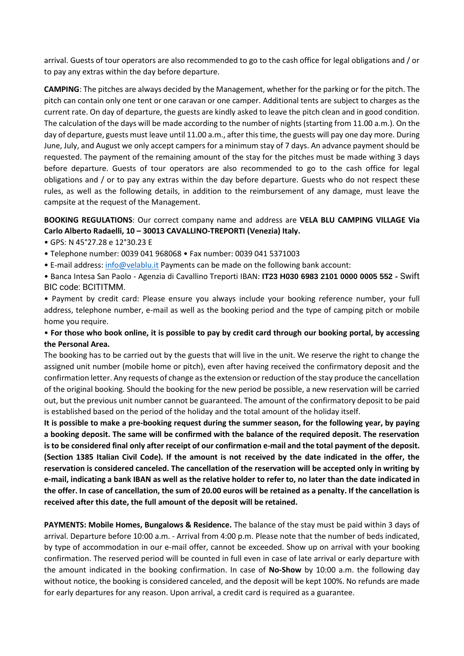arrival. Guests of tour operators are also recommended to go to the cash office for legal obligations and / or to pay any extras within the day before departure.

**CAMPING**: The pitches are always decided by the Management, whether for the parking or for the pitch. The pitch can contain only one tent or one caravan or one camper. Additional tents are subject to charges as the current rate. On day of departure, the guests are kindly asked to leave the pitch clean and in good condition. The calculation of the days will be made according to the number of nights (starting from 11.00 a.m.). On the day of departure, guests must leave until 11.00 a.m., after this time, the guests will pay one day more. During June, July, and August we only accept campers for a minimum stay of 7 days. An advance payment should be requested. The payment of the remaining amount of the stay for the pitches must be made withing 3 days before departure. Guests of tour operators are also recommended to go to the cash office for legal obligations and / or to pay any extras within the day before departure. Guests who do not respect these rules, as well as the following details, in addition to the reimbursement of any damage, must leave the campsite at the request of the Management.

## **BOOKING REGULATIONS**: Our correct company name and address are **VELA BLU CAMPING VILLAGE Via Carlo Alberto Radaelli, 10 – 30013 CAVALLINO-TREPORTI (Venezia) Italy.**

- GPS: N 45°27.28 e 12°30.23 E
- Telephone number: 0039 041 968068 Fax number: 0039 041 5371003
- E-mail address: [info@velablu.it](mailto:info@velablu.it) Payments can be made on the following bank account:
- Banca Intesa San Paolo Agenzia di Cavallino Treporti IBAN: **IT23 H030 6983 2101 0000 0005 552 -** Swift BIC code: BCITITMM.
- Payment by credit card: Please ensure you always include your booking reference number, your full address, telephone number, e-mail as well as the booking period and the type of camping pitch or mobile home you require.

## • **For those who book online, it is possible to pay by credit card through our booking portal, by accessing the Personal Area.**

The booking has to be carried out by the guests that will live in the unit. We reserve the right to change the assigned unit number (mobile home or pitch), even after having received the confirmatory deposit and the confirmation letter. Any requests of change as the extension or reduction of the stay produce the cancellation of the original booking. Should the booking for the new period be possible, a new reservation will be carried out, but the previous unit number cannot be guaranteed. The amount of the confirmatory deposit to be paid is established based on the period of the holiday and the total amount of the holiday itself.

**It is possible to make a pre-booking request during the summer season, for the following year, by paying a booking deposit. The same will be confirmed with the balance of the required deposit. The reservation is to be considered final only after receipt of our confirmation e-mail and the total payment of the deposit. (Section 1385 Italian Civil Code). If the amount is not received by the date indicated in the offer, the reservation is considered canceled. The cancellation of the reservation will be accepted only in writing by e-mail, indicating a bank IBAN as well as the relative holder to refer to, no later than the date indicated in the offer. In case of cancellation, the sum of 20.00 euros will be retained as a penalty. If the cancellation is received after this date, the full amount of the deposit will be retained.**

**PAYMENTS: Mobile Homes, Bungalows & Residence.** The balance of the stay must be paid within 3 days of arrival. Departure before 10:00 a.m. - Arrival from 4:00 p.m. Please note that the number of beds indicated, by type of accommodation in our e-mail offer, cannot be exceeded. Show up on arrival with your booking confirmation. The reserved period will be counted in full even in case of late arrival or early departure with the amount indicated in the booking confirmation. In case of **No-Show** by 10:00 a.m. the following day without notice, the booking is considered canceled, and the deposit will be kept 100%. No refunds are made for early departures for any reason. Upon arrival, a credit card is required as a guarantee.